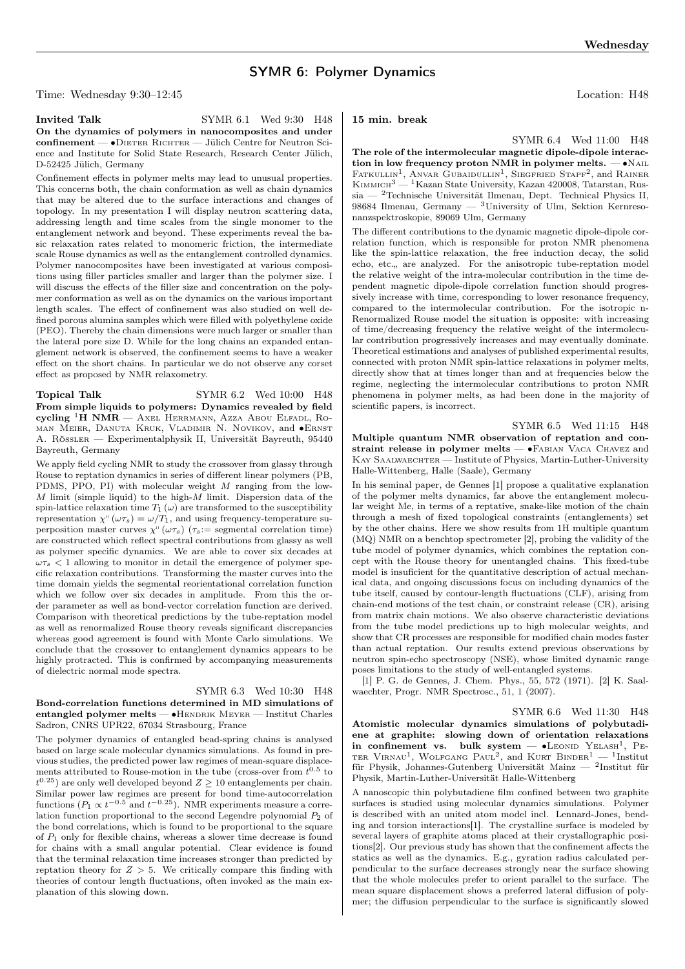# SYMR 6: Polymer Dynamics

Time: Wednesday 9:30–12:45 Location: H48

SYMR 6.4 Wed 11:00 H48

Invited Talk SYMR 6.1 Wed 9:30 H48 On the dynamics of polymers in nanocomposites and under confinement — • DIETER RICHTER — Jülich Centre for Neutron Science and Institute for Solid State Research, Research Center Jülich, D-52425 Jülich, Germany

Confinement effects in polymer melts may lead to unusual properties. This concerns both, the chain conformation as well as chain dynamics that may be altered due to the surface interactions and changes of topology. In my presentation I will display neutron scattering data, addressing length and time scales from the single monomer to the entanglement network and beyond. These experiments reveal the basic relaxation rates related to monomeric friction, the intermediate scale Rouse dynamics as well as the entanglement controlled dynamics. Polymer nanocomposites have been investigated at various compositions using filler particles smaller and larger than the polymer size. I will discuss the effects of the filler size and concentration on the polymer conformation as well as on the dynamics on the various important length scales. The effect of confinement was also studied on well defined porous alumina samples which were filled with polyethylene oxide (PEO). Thereby the chain dimensions were much larger or smaller than the lateral pore size D. While for the long chains an expanded entanglement network is observed, the confinement seems to have a weaker effect on the short chains. In particular we do not observe any corset effect as proposed by NMR relaxometry.

Topical Talk SYMR 6.2 Wed 10:00 H48 From simple liquids to polymers: Dynamics revealed by field cycling <sup>1</sup>H NMR — Axel Herrmann, Azza Abou Elfadl, Roman Meier, Danuta Kruk, Vladimir N. Novikov, and ∙Ernst A. Rössler — Experimentalphysik II, Universität Bayreuth, 95440 Bayreuth, Germany

We apply field cycling NMR to study the crossover from glassy through Rouse to reptation dynamics in series of different linear polymers (PB, PDMS, PPO, PI) with molecular weight  $M$  ranging from the low- $M$  limit (simple liquid) to the high- $M$  limit. Dispersion data of the spin-lattice relaxation time  $T_1(\omega)$  are transformed to the susceptibility representation  $\chi^{\shortparallel}(\omega\tau_s) = \omega/T_1$ , and using frequency-temperature superposition master curves  $\chi^{\shortparallel}(\omega\tau_s)$  ( $\tau_s$ : = segmental correlation time) are constructed which reflect spectral contributions from glassy as well as polymer specific dynamics. We are able to cover six decades at  $\omega \tau_s$  < 1 allowing to monitor in detail the emergence of polymer specific relaxation contributions. Transforming the master curves into the time domain yields the segmental reorientational correlation function which we follow over six decades in amplitude. From this the order parameter as well as bond-vector correlation function are derived. Comparison with theoretical predictions by the tube-reptation model as well as renormalized Rouse theory reveals significant discrepancies whereas good agreement is found with Monte Carlo simulations. We conclude that the crossover to entanglement dynamics appears to be highly protracted. This is confirmed by accompanying measurements of dielectric normal mode spectra.

### SYMR 6.3 Wed 10:30 H48 Bond-correlation functions determined in MD simulations of

entangled polymer melts — •HENDRIK MEYER — Institut Charles Sadron, CNRS UPR22, 67034 Strasbourg, France

The polymer dynamics of entangled bead-spring chains is analysed based on large scale molecular dynamics simulations. As found in previous studies, the predicted power law regimes of mean-square displacements attributed to Rouse-motion in the tube (cross-over from  $t^{0.5}$  to  $t^{0.25}$ ) are only well developed beyond  $Z \ge 10$  entanglements per chain. Similar power law regimes are present for bond time-autocorrelation functions  $(P_1 \propto t^{-0.5}$  and  $t^{-0.25}$ ). NMR experiments measure a correlation function proportional to the second Legendre polynomial  $P_2$  of the bond correlations, which is found to be proportional to the square of  $P_1$  only for flexible chains, whereas a slower time decrease is found for chains with a small angular potential. Clear evidence is found that the terminal relaxation time increases stronger than predicted by reptation theory for  $Z > 5$ . We critically compare this finding with theories of contour length fluctuations, often invoked as the main explanation of this slowing down.

# 15 min. break

The role of the intermolecular magnetic dipole-dipole interaction in low frequency proton NMR in polymer melts.  $- \bullet$ NAIL FATKULLIN<sup>1</sup>, ANVAR GUBAIDULLIN<sup>1</sup>, SIEGFRIED STAPF<sup>2</sup>, and RAINER KIMMICH<sup>3</sup> — <sup>1</sup>Kazan State University, Kazan 420008, Tatarstan, Russia — <sup>2</sup>Technische Universität Ilmenau, Dept. Technical Physics II, 98684 Ilmenau, Germany — <sup>3</sup>University of Ulm, Sektion Kernresonanzspektroskopie, 89069 Ulm, Germany

The different contributions to the dynamic magnetic dipole-dipole correlation function, which is responsible for proton NMR phenomena like the spin-lattice relaxation, the free induction decay, the solid echo, etc.,, are analyzed. For the anisotropic tube-reptation model the relative weight of the intra-molecular contribution in the time dependent magnetic dipole-dipole correlation function should progressively increase with time, corresponding to lower resonance frequency, compared to the intermolecular contribution. For the isotropic n-Renormalized Rouse model the situation is opposite: with increasing of time/decreasing frequency the relative weight of the intermolecular contribution progressively increases and may eventually dominate. Theoretical estimations and analyses of published experimental results, connected with proton NMR spin-lattice relaxations in polymer melts, directly show that at times longer than and at frequencies below the regime, neglecting the intermolecular contributions to proton NMR phenomena in polymer melts, as had been done in the majority of scientific papers, is incorrect.

SYMR 6.5 Wed 11:15 H48 Multiple quantum NMR observation of reptation and constraint release in polymer melts — •FABIAN VACA CHAVEZ and KAY SAALWAECHTER — Institute of Physics, Martin-Luther-University Halle-Wittenberg, Halle (Saale), Germany

In his seminal paper, de Gennes [1] propose a qualitative explanation of the polymer melts dynamics, far above the entanglement molecular weight Me, in terms of a reptative, snake-like motion of the chain through a mesh of fixed topological constraints (entanglements) set by the other chains. Here we show results from 1H multiple quantum (MQ) NMR on a benchtop spectrometer [2], probing the validity of the tube model of polymer dynamics, which combines the reptation concept with the Rouse theory for unentangled chains. This fixed-tube model is insuficient for the quantitative description of actual mechanical data, and ongoing discussions focus on including dynamics of the tube itself, caused by contour-length fluctuations (CLF), arising from chain-end motions of the test chain, or constraint release (CR), arising from matrix chain motions. We also observe characteristic deviations from the tube model predictions up to high molecular weights, and show that CR processes are responsible for modified chain modes faster than actual reptation. Our results extend previous observations by neutron spin-echo spectroscopy (NSE), whose limited dynamic range poses limitations to the study of well-entangled systems.

[1] P. G. de Gennes, J. Chem. Phys., 55, 572 (1971). [2] K. Saalwaechter, Progr. NMR Spectrosc., 51, 1 (2007).

SYMR 6.6 Wed 11:30 H48

Atomistic molecular dynamics simulations of polybutadiene at graphite: slowing down of orientation relaxations in confinement vs. bulk system —  $\bullet$ LEONID YELASH<sup>1</sup>, PE-TER VIRNAU<sup>1</sup>, WOLFGANG PAUL<sup>2</sup>, and KURT BINDER<sup>1</sup> - <sup>1</sup>Institut für Physik, Johannes-Gutenberg Universität Mainz — <sup>2</sup> Institut für Physik, Martin-Luther-Universität Halle-Wittenberg

A nanoscopic thin polybutadiene film confined between two graphite surfaces is studied using molecular dynamics simulations. Polymer is described with an united atom model incl. Lennard-Jones, bending and torsion interactions[1]. The crystalline surface is modeled by several layers of graphite atoms placed at their crystallographic positions[2]. Our previous study has shown that the confinement affects the statics as well as the dynamics. E.g., gyration radius calculated perpendicular to the surface decreases strongly near the surface showing that the whole molecules prefer to orient parallel to the surface. The mean square displacement shows a preferred lateral diffusion of polymer; the diffusion perpendicular to the surface is significantly slowed